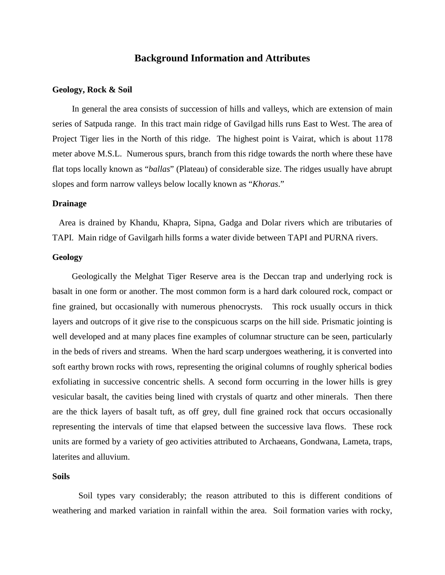# **Background Information and Attributes**

#### **Geology, Rock & Soil**

In general the area consists of succession of hills and valleys, which are extension of main series of Satpuda range. In this tract main ridge of Gavilgad hills runs East to West. The area of Project Tiger lies in the North of this ridge. The highest point is Vairat, which is about 1178 meter above M.S.L. Numerous spurs, branch from this ridge towards the north where these have flat tops locally known as "*ballas*" (Plateau) of considerable size. The ridges usually have abrupt slopes and form narrow valleys below locally known as "*Khoras*."

## **Drainage**

Area is drained by Khandu, Khapra, Sipna, Gadga and Dolar rivers which are tributaries of TAPI. Main ridge of Gavilgarh hills forms a water divide between TAPI and PURNA rivers.

# **Geology**

Geologically the Melghat Tiger Reserve area is the Deccan trap and underlying rock is basalt in one form or another. The most common form is a hard dark coloured rock, compact or fine grained, but occasionally with numerous phenocrysts. This rock usually occurs in thick layers and outcrops of it give rise to the conspicuous scarps on the hill side. Prismatic jointing is well developed and at many places fine examples of columnar structure can be seen, particularly in the beds of rivers and streams. When the hard scarp undergoes weathering, it is converted into soft earthy brown rocks with rows, representing the original columns of roughly spherical bodies exfoliating in successive concentric shells. A second form occurring in the lower hills is grey vesicular basalt, the cavities being lined with crystals of quartz and other minerals. Then there are the thick layers of basalt tuft, as off grey, dull fine grained rock that occurs occasionally representing the intervals of time that elapsed between the successive lava flows. These rock units are formed by a variety of geo activities attributed to Archaeans, Gondwana, Lameta, traps, laterites and alluvium.

# **Soils**

 Soil types vary considerably; the reason attributed to this is different conditions of weathering and marked variation in rainfall within the area. Soil formation varies with rocky,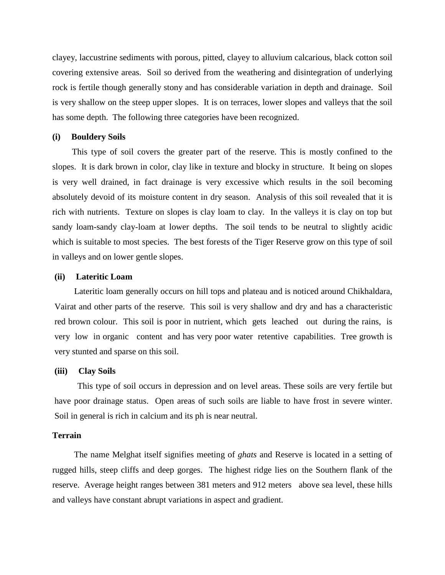clayey, laccustrine sediments with porous, pitted, clayey to alluvium calcarious, black cotton soil covering extensive areas. Soil so derived from the weathering and disintegration of underlying rock is fertile though generally stony and has considerable variation in depth and drainage. Soil is very shallow on the steep upper slopes. It is on terraces, lower slopes and valleys that the soil has some depth. The following three categories have been recognized.

#### **(i) Bouldery Soils**

This type of soil covers the greater part of the reserve. This is mostly confined to the slopes. It is dark brown in color, clay like in texture and blocky in structure. It being on slopes is very well drained, in fact drainage is very excessive which results in the soil becoming absolutely devoid of its moisture content in dry season. Analysis of this soil revealed that it is rich with nutrients. Texture on slopes is clay loam to clay. In the valleys it is clay on top but sandy loam-sandy clay-loam at lower depths. The soil tends to be neutral to slightly acidic which is suitable to most species. The best forests of the Tiger Reserve grow on this type of soil in valleys and on lower gentle slopes.

#### **(ii) Lateritic Loam**

Lateritic loam generally occurs on hill tops and plateau and is noticed around Chikhaldara, Vairat and other parts of the reserve. This soil is very shallow and dry and has a characteristic red brown colour. This soil is poor in nutrient, which gets leached out during the rains, is very low in organic content and has very poor water retentive capabilities. Tree growth is very stunted and sparse on this soil.

#### **(iii) Clay Soils**

 This type of soil occurs in depression and on level areas. These soils are very fertile but have poor drainage status. Open areas of such soils are liable to have frost in severe winter. Soil in general is rich in calcium and its ph is near neutral.

### **Terrain**

The name Melghat itself signifies meeting of *ghats* and Reserve is located in a setting of rugged hills, steep cliffs and deep gorges. The highest ridge lies on the Southern flank of the reserve. Average height ranges between 381 meters and 912 meters above sea level, these hills and valleys have constant abrupt variations in aspect and gradient.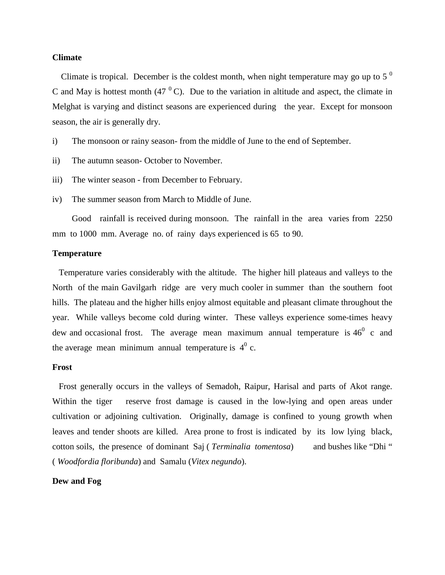## **Climate**

Climate is tropical. December is the coldest month, when night temperature may go up to 5<sup> $0$ </sup> C and May is hottest month  $(47<sup>0</sup>C)$ . Due to the variation in altitude and aspect, the climate in Melghat is varying and distinct seasons are experienced during the year. Except for monsoon season, the air is generally dry.

- i) The monsoon or rainy season- from the middle of June to the end of September.
- ii) The autumn season- October to November.
- iii) The winter season from December to February.
- iv) The summer season from March to Middle of June.

Good rainfall is received during monsoon. The rainfall in the area varies from 2250 mm to 1000 mm. Average no. of rainy days experienced is 65 to 90.

# **Temperature**

Temperature varies considerably with the altitude. The higher hill plateaus and valleys to the North of the main Gavilgarh ridge are very much cooler in summer than the southern foot hills. The plateau and the higher hills enjoy almost equitable and pleasant climate throughout the year. While valleys become cold during winter. These valleys experience some-times heavy dew and occasional frost. The average mean maximum annual temperature is  $46^{\circ}$  c and the average mean minimum annual temperature is  $4^0$  c.

#### **Frost**

Frost generally occurs in the valleys of Semadoh, Raipur, Harisal and parts of Akot range. Within the tiger reserve frost damage is caused in the low-lying and open areas under cultivation or adjoining cultivation. Originally, damage is confined to young growth when leaves and tender shoots are killed. Area prone to frost is indicated by its low lying black, cotton soils, the presence of dominant Saj ( *Terminalia tomentosa*) and bushes like "Dhi " ( *Woodfordia floribunda*) and Samalu (*Vitex negundo*).

## **Dew and Fog**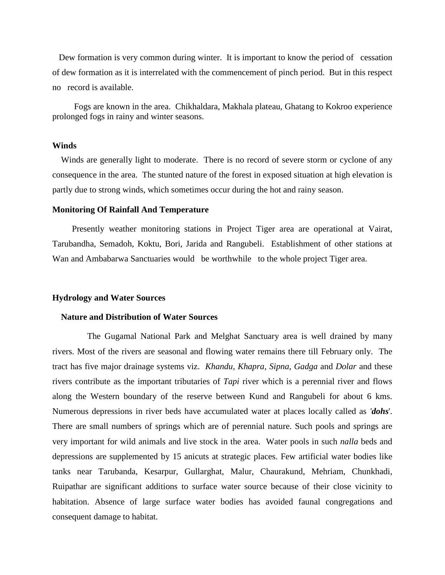Dew formation is very common during winter. It is important to know the period of cessation of dew formation as it is interrelated with the commencement of pinch period. But in this respect no record is available.

 Fogs are known in the area. Chikhaldara, Makhala plateau, Ghatang to Kokroo experience prolonged fogs in rainy and winter seasons.

# **Winds**

Winds are generally light to moderate. There is no record of severe storm or cyclone of any consequence in the area. The stunted nature of the forest in exposed situation at high elevation is partly due to strong winds, which sometimes occur during the hot and rainy season.

## **Monitoring Of Rainfall And Temperature**

Presently weather monitoring stations in Project Tiger area are operational at Vairat, Tarubandha, Semadoh, Koktu, Bori, Jarida and Rangubeli. Establishment of other stations at Wan and Ambabarwa Sanctuaries would be worthwhile to the whole project Tiger area.

#### **Hydrology and Water Sources**

#### **Nature and Distribution of Water Sources**

 The Gugamal National Park and Melghat Sanctuary area is well drained by many rivers. Most of the rivers are seasonal and flowing water remains there till February only. The tract has five major drainage systems viz. *Khandu, Khapra, Sipna*, *Gadga* and *Dolar* and these rivers contribute as the important tributaries of *Tapi* river which is a perennial river and flows along the Western boundary of the reserve between Kund and Rangubeli for about 6 kms. Numerous depressions in river beds have accumulated water at places locally called as *'dohs*'. There are small numbers of springs which are of perennial nature. Such pools and springs are very important for wild animals and live stock in the area. Water pools in such *nalla* beds and depressions are supplemented by 15 anicuts at strategic places. Few artificial water bodies like tanks near Tarubanda, Kesarpur, Gullarghat, Malur, Chaurakund, Mehriam, Chunkhadi, Ruipathar are significant additions to surface water source because of their close vicinity to habitation. Absence of large surface water bodies has avoided faunal congregations and consequent damage to habitat.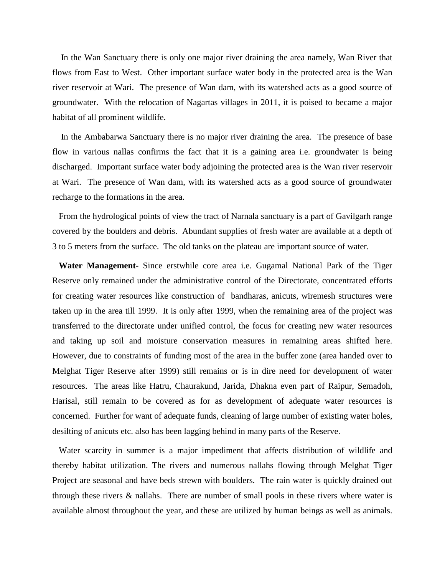In the Wan Sanctuary there is only one major river draining the area namely, Wan River that flows from East to West. Other important surface water body in the protected area is the Wan river reservoir at Wari. The presence of Wan dam, with its watershed acts as a good source of groundwater. With the relocation of Nagartas villages in 2011, it is poised to became a major habitat of all prominent wildlife.

In the Ambabarwa Sanctuary there is no major river draining the area. The presence of base flow in various nallas confirms the fact that it is a gaining area i.e. groundwater is being discharged. Important surface water body adjoining the protected area is the Wan river reservoir at Wari. The presence of Wan dam, with its watershed acts as a good source of groundwater recharge to the formations in the area.

From the hydrological points of view the tract of Narnala sanctuary is a part of Gavilgarh range covered by the boulders and debris. Abundant supplies of fresh water are available at a depth of 3 to 5 meters from the surface. The old tanks on the plateau are important source of water.

 **Water Management-** Since erstwhile core area i.e. Gugamal National Park of the Tiger Reserve only remained under the administrative control of the Directorate, concentrated efforts for creating water resources like construction of bandharas, anicuts, wiremesh structures were taken up in the area till 1999. It is only after 1999, when the remaining area of the project was transferred to the directorate under unified control, the focus for creating new water resources and taking up soil and moisture conservation measures in remaining areas shifted here. However, due to constraints of funding most of the area in the buffer zone (area handed over to Melghat Tiger Reserve after 1999) still remains or is in dire need for development of water resources. The areas like Hatru, Chaurakund, Jarida, Dhakna even part of Raipur, Semadoh, Harisal, still remain to be covered as for as development of adequate water resources is concerned. Further for want of adequate funds, cleaning of large number of existing water holes, desilting of anicuts etc. also has been lagging behind in many parts of the Reserve.

 Water scarcity in summer is a major impediment that affects distribution of wildlife and thereby habitat utilization. The rivers and numerous nallahs flowing through Melghat Tiger Project are seasonal and have beds strewn with boulders. The rain water is quickly drained out through these rivers & nallahs. There are number of small pools in these rivers where water is available almost throughout the year, and these are utilized by human beings as well as animals.